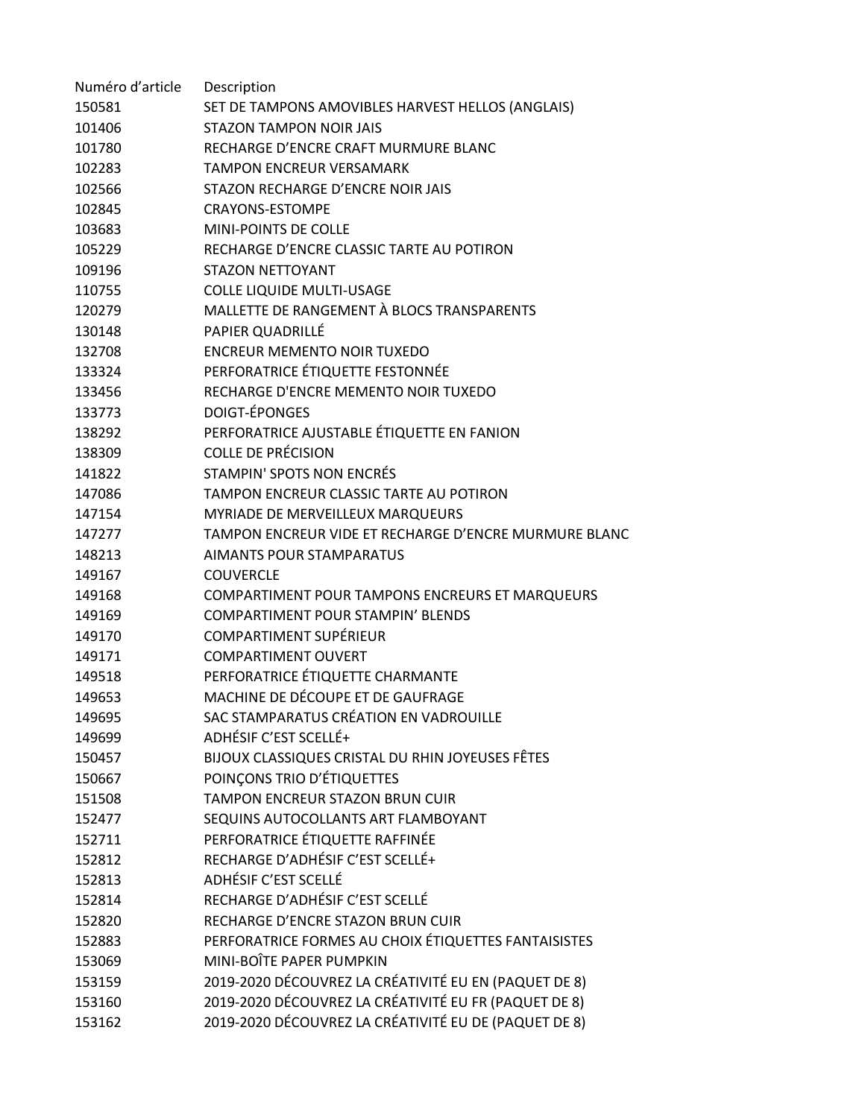| Numéro d'article | Description                                           |
|------------------|-------------------------------------------------------|
| 150581           | SET DE TAMPONS AMOVIBLES HARVEST HELLOS (ANGLAIS)     |
| 101406           | STAZON TAMPON NOIR JAIS                               |
| 101780           | RECHARGE D'ENCRE CRAFT MURMURE BLANC                  |
| 102283           | <b>TAMPON ENCREUR VERSAMARK</b>                       |
| 102566           | STAZON RECHARGE D'ENCRE NOIR JAIS                     |
| 102845           | <b>CRAYONS-ESTOMPE</b>                                |
| 103683           | <b>MINI-POINTS DE COLLE</b>                           |
| 105229           | RECHARGE D'ENCRE CLASSIC TARTE AU POTIRON             |
| 109196           | <b>STAZON NETTOYANT</b>                               |
| 110755           | <b>COLLE LIQUIDE MULTI-USAGE</b>                      |
| 120279           | MALLETTE DE RANGEMENT À BLOCS TRANSPARENTS            |
| 130148           | PAPIER QUADRILLÉ                                      |
| 132708           | <b>ENCREUR MEMENTO NOIR TUXEDO</b>                    |
| 133324           | PERFORATRICE ÉTIQUETTE FESTONNÉE                      |
| 133456           | RECHARGE D'ENCRE MEMENTO NOIR TUXEDO                  |
| 133773           | DOIGT-ÉPONGES                                         |
| 138292           | PERFORATRICE AJUSTABLE ÉTIQUETTE EN FANION            |
| 138309           | <b>COLLE DE PRÉCISION</b>                             |
| 141822           | STAMPIN' SPOTS NON ENCRÉS                             |
| 147086           | TAMPON ENCREUR CLASSIC TARTE AU POTIRON               |
| 147154           | MYRIADE DE MERVEILLEUX MARQUEURS                      |
| 147277           | TAMPON ENCREUR VIDE ET RECHARGE D'ENCRE MURMURE BLANC |
| 148213           | <b>AIMANTS POUR STAMPARATUS</b>                       |
| 149167           | <b>COUVERCLE</b>                                      |
| 149168           | COMPARTIMENT POUR TAMPONS ENCREURS ET MARQUEURS       |
| 149169           | <b>COMPARTIMENT POUR STAMPIN' BLENDS</b>              |
| 149170           | <b>COMPARTIMENT SUPÉRIEUR</b>                         |
| 149171           | <b>COMPARTIMENT OUVERT</b>                            |
| 149518           | PERFORATRICE ÉTIQUETTE CHARMANTE                      |
| 149653           | MACHINE DE DÉCOUPE ET DE GAUFRAGE                     |
| 149695           | SAC STAMPARATUS CRÉATION EN VADROUILLE                |
| 149699           | ADHÉSIF C'EST SCELLÉ+                                 |
| 150457           | BIJOUX CLASSIQUES CRISTAL DU RHIN JOYEUSES FÊTES      |
| 150667           | POINÇONS TRIO D'ÉTIQUETTES                            |
| 151508           | TAMPON ENCREUR STAZON BRUN CUIR                       |
| 152477           | SEQUINS AUTOCOLLANTS ART FLAMBOYANT                   |
| 152711           | PERFORATRICE ÉTIQUETTE RAFFINÉE                       |
| 152812           | RECHARGE D'ADHÉSIF C'EST SCELLÉ+                      |
| 152813           | ADHÉSIF C'EST SCELLÉ                                  |
| 152814           | RECHARGE D'ADHÉSIF C'EST SCELLÉ                       |
| 152820           | RECHARGE D'ENCRE STAZON BRUN CUIR                     |
| 152883           | PERFORATRICE FORMES AU CHOIX ÉTIQUETTES FANTAISISTES  |
| 153069           | MINI-BOÎTE PAPER PUMPKIN                              |
| 153159           | 2019-2020 DÉCOUVREZ LA CRÉATIVITÉ EU EN (PAQUET DE 8) |
| 153160           | 2019-2020 DÉCOUVREZ LA CRÉATIVITÉ EU FR (PAQUET DE 8) |
| 153162           | 2019-2020 DÉCOUVREZ LA CRÉATIVITÉ EU DE (PAQUET DE 8) |